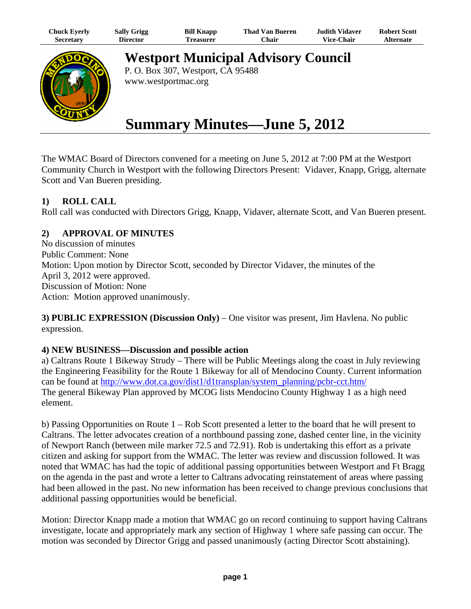| Chuck Eyerly | <b>Sally Grigg</b> | <b>Bill Knapp</b> | Thad Van Bueren | <b>Judith Vidaver</b> | <b>Robert Scott</b> |
|--------------|--------------------|-------------------|-----------------|-----------------------|---------------------|
| Secretary    | Director           | Treasurer         | ∵hair           | <b>Vice-Chair</b>     | <b>Alternate</b>    |



**Westport Municipal Advisory Council**

P. O. Box 307, Westport, CA 95488 www.westportmac.org

# **Summary Minutes—June 5, 2012**

The WMAC Board of Directors convened for a meeting on June 5, 2012 at 7:00 PM at the Westport Community Church in Westport with the following Directors Present: Vidaver, Knapp, Grigg, alternate Scott and Van Bueren presiding.

# **1) ROLL CALL**

Roll call was conducted with Directors Grigg, Knapp, Vidaver, alternate Scott, and Van Bueren present.

# **2) APPROVAL OF MINUTES**

No discussion of minutes Public Comment: None Motion: Upon motion by Director Scott, seconded by Director Vidaver, the minutes of the April 3, 2012 were approved. Discussion of Motion: None Action: Motion approved unanimously.

**3) PUBLIC EXPRESSION (Discussion Only)** – One visitor was present, Jim Havlena. No public expression.

#### **4) NEW BUSINESS—Discussion and possible action**

a) Caltrans Route 1 Bikeway Strudy – There will be Public Meetings along the coast in July reviewing the Engineering Feasibility for the Route 1 Bikeway for all of Mendocino County. Current information can be found at http://www.dot.ca.gov/dist1/d1transplan/system\_planning/pcbr-cct.htm/ The general Bikeway Plan approved by MCOG lists Mendocino County Highway 1 as a high need element.

b) Passing Opportunities on Route 1 – Rob Scott presented a letter to the board that he will present to Caltrans. The letter advocates creation of a northbound passing zone, dashed center line, in the vicinity of Newport Ranch (between mile marker 72.5 and 72.91). Rob is undertaking this effort as a private citizen and asking for support from the WMAC. The letter was review and discussion followed. It was noted that WMAC has had the topic of additional passing opportunities between Westport and Ft Bragg on the agenda in the past and wrote a letter to Caltrans advocating reinstatement of areas where passing had been allowed in the past. No new information has been received to change previous conclusions that additional passing opportunities would be beneficial.

Motion: Director Knapp made a motion that WMAC go on record continuing to support having Caltrans investigate, locate and appropriately mark any section of Highway 1 where safe passing can occur. The motion was seconded by Director Grigg and passed unanimously (acting Director Scott abstaining).